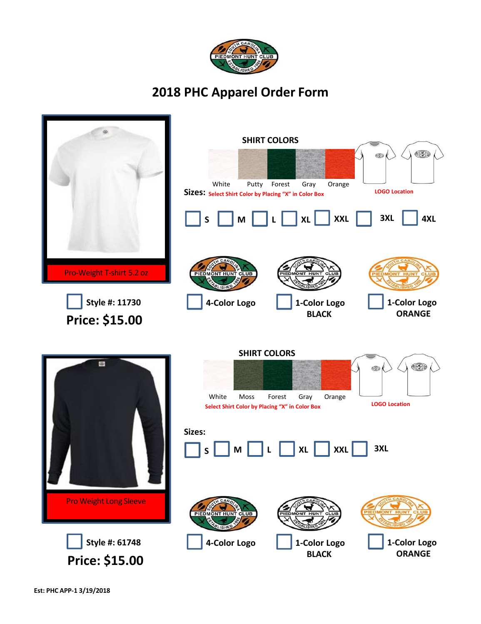

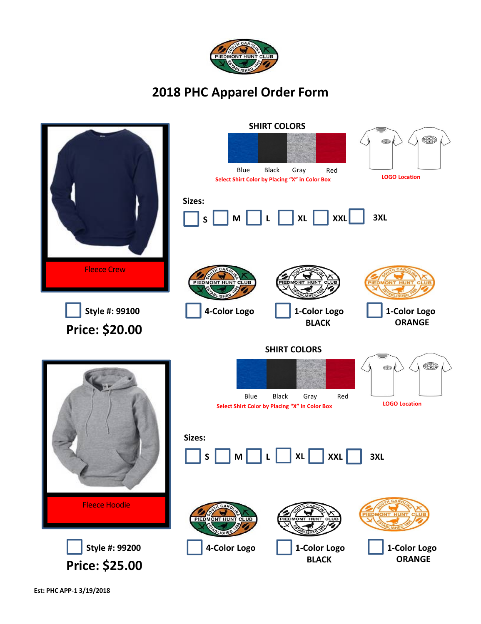

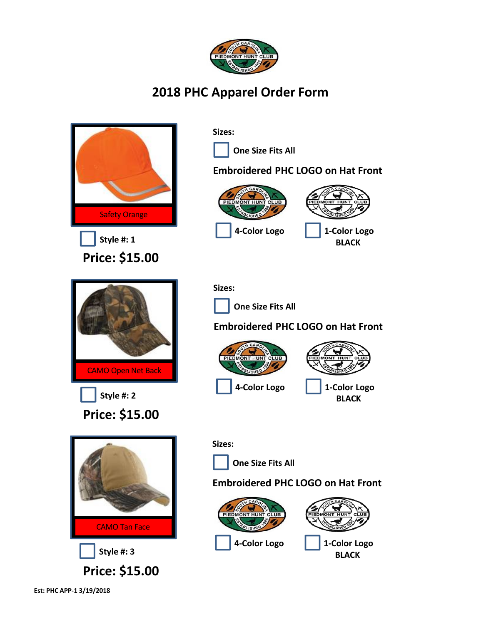